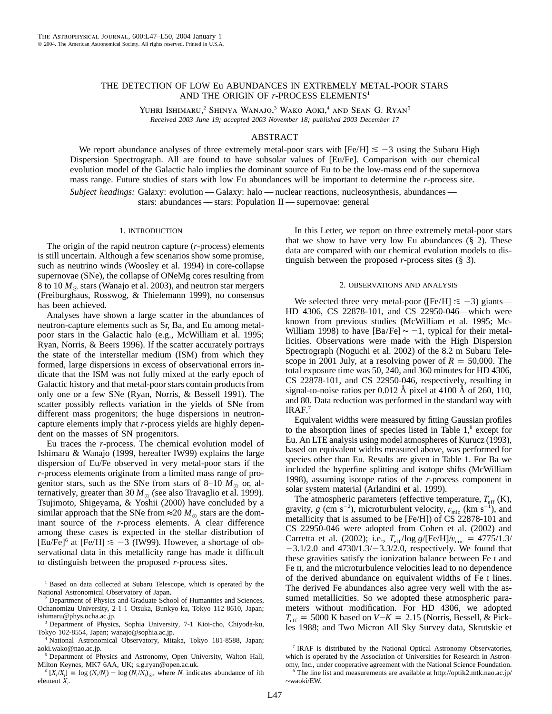# THE DETECTION OF LOW Eu ABUNDANCES IN EXTREMELY METAL-POOR STARS AND THE ORIGIN OF *r*-PROCESS ELEMENTS<sup>1</sup>

YUHRI ISHIMARU,<sup>2</sup> SHINYA WANAJO,<sup>3</sup> WAKO AOKI,<sup>4</sup> AND SEAN G. RYAN<sup>5</sup> *Received 2003 June 19; accepted 2003 November 18; published 2003 December 17*

# ABSTRACT

We report abundance analyses of three extremely metal-poor stars with  $[Fe/H] \le -3$  using the Subaru High Dispersion Spectrograph. All are found to have subsolar values of [Eu/Fe]. Comparison with our chemical evolution model of the Galactic halo implies the dominant source of Eu to be the low-mass end of the supernova mass range. Future studies of stars with low Eu abundances will be important to determine the *r*-process site. *Subject headings:* Galaxy: evolution — Galaxy: halo — nuclear reactions, nucleosynthesis, abundances stars: abundances — stars: Population II — supernovae: general

### 1. INTRODUCTION

The origin of the rapid neutron capture (*r*-process) elements is still uncertain. Although a few scenarios show some promise, such as neutrino winds (Woosley et al. 1994) in core-collapse supernovae (SNe), the collapse of ONeMg cores resulting from 8 to 10 *M*, stars (Wanajo et al. 2003), and neutron star mergers (Freiburghaus, Rosswog, & Thielemann 1999), no consensus has been achieved.

Analyses have shown a large scatter in the abundances of neutron-capture elements such as Sr, Ba, and Eu among metalpoor stars in the Galactic halo (e.g., McWilliam et al. 1995; Ryan, Norris, & Beers 1996). If the scatter accurately portrays the state of the interstellar medium (ISM) from which they formed, large dispersions in excess of observational errors indicate that the ISM was not fully mixed at the early epoch of Galactic history and that metal-poor stars contain products from only one or a few SNe (Ryan, Norris, & Bessell 1991). The scatter possibly reflects variation in the yields of SNe from different mass progenitors; the huge dispersions in neutroncapture elements imply that *r*-process yields are highly dependent on the masses of SN progenitors.

Eu traces the *r*-process. The chemical evolution model of Ishimaru & Wanajo (1999, hereafter IW99) explains the large dispersion of Eu/Fe observed in very metal-poor stars if the *r*-process elements originate from a limited mass range of progenitor stars, such as the SNe from stars of 8–10  $M_{\odot}$  or, alternatively, greater than 30  $M_{\odot}$  (see also Travaglio et al. 1999). Tsujimoto, Shigeyama, & Yoshii (2000) have concluded by a similar approach that the SNe from  $\approx 20 M_{\odot}$  stars are the dominant source of the *r*-process elements. A clear difference among these cases is expected in the stellar distribution of [Eu/Fe]<sup>6</sup> at [Fe/H]  $\leq -3$  (IW99). However, a shortage of observational data in this metallicity range has made it difficult to distinguish between the proposed *r*-process sites.

<sup>1</sup> Based on data collected at Subaru Telescope, which is operated by the National Astronomical Observatory of Japan.

<sup>2</sup> Department of Physics and Graduate School of Humanities and Sciences, Ochanomizu University, 2-1-1 Otsuka, Bunkyo-ku, Tokyo 112-8610, Japan; ishimaru@phys.ocha.ac.jp.

<sup>3</sup> Department of Physics, Sophia University, 7-1 Kioi-cho, Chiyoda-ku, Tokyo 102-8554, Japan; wanajo@sophia.ac.jp.

<sup>4</sup> National Astronomical Observatory, Mitaka, Tokyo 181-8588, Japan; aoki.wako@nao.ac.jp.

<sup>5</sup> Department of Physics and Astronomy, Open University, Walton Hall, Milton Keynes, MK7 6AA, UK; s.g.ryan@open.ac.uk.

 $\binom{6}{i}$   $[X_i/X_j]$  = log  $(N_i/N_j)$  - log  $(N_i/N_j)$ <sub>o</sub>, where  $N_i$  indicates abundance of *i*th element  $X_i$ .

In this Letter, we report on three extremely metal-poor stars that we show to have very low Eu abundances  $(\S 2)$ . These data are compared with our chemical evolution models to distinguish between the proposed *r*-process sites (§ 3).

### 2. OBSERVATIONS AND ANALYSIS

We selected three very metal-poor ( $[Fe/H] \le -3$ ) giants— HD 4306, CS 22878-101, and CS 22950-046—which were known from previous studies (McWilliam et al. 1995; Mc-William 1998) to have  $[Ba/Fe] \sim -1$ , typical for their metallicities. Observations were made with the High Dispersion Spectrograph (Noguchi et al. 2002) of the 8.2 m Subaru Telescope in 2001 July, at a resolving power of  $R = 50,000$ . The total exposure time was 50, 240, and 360 minutes for HD 4306, CS 22878-101, and CS 22950-046, respectively, resulting in signal-to-noise ratios per  $0.012 \text{ Å}$  pixel at 4100 Å of 260, 110, and 80. Data reduction was performed in the standard way with  $IRAF.<sup>7</sup>$ 

Equivalent widths were measured by fitting Gaussian profiles to the absorption lines of species listed in Table  $1$ ,<sup>8</sup> except for Eu. An LTE analysis using model atmospheres of Kurucz (1993), based on equivalent widths measured above, was performed for species other than Eu. Results are given in Table 1. For Ba we included the hyperfine splitting and isotope shifts (McWilliam 1998), assuming isotope ratios of the *r*-process component in solar system material (Arlandini et al. 1999).

The atmospheric parameters (effective temperature,  $T_{\text{eff}}$  (K), gravity,  $g$  (cm s<sup>-2</sup>), microturbulent velocity,  $v_{\text{mic}}$  (km s<sup>-1</sup>), and metallicity that is assumed to be [Fe/H]) of CS 22878-101 and CS 22950-046 were adopted from Cohen et al. (2002) and Carretta et al. (2002); i.e.,  $T_{\text{eff}} / \log g / [Fe/H] / v_{\text{mic}} = 4775/1.3 /$  $-3.1/2.0$  and  $4730/1.3/-3.3/2.0$ , respectively. We found that these gravities satisfy the ionization balance between Fe i and Fe II, and the microturbulence velocities lead to no dependence of the derived abundance on equivalent widths of Fe i lines. The derived Fe abundances also agree very well with the assumed metallicities. So we adopted these atmospheric parameters without modification. For HD 4306, we adopted  $T_{\text{eff}}$  = 5000 K based on  $V-K$  = 2.15 (Norris, Bessell, & Pickles 1988; and Two Micron All Sky Survey data, Skrutskie et

<sup>7</sup> IRAF is distributed by the National Optical Astronomy Observatories, which is operated by the Association of Universities for Research in Astronomy, Inc., under cooperative agreement with the National Science Foundation.

<sup>&</sup>lt;sup>8</sup> The line list and measurements are available at http://optik2.mtk.nao.ac.jp/ ∼waoki/EW.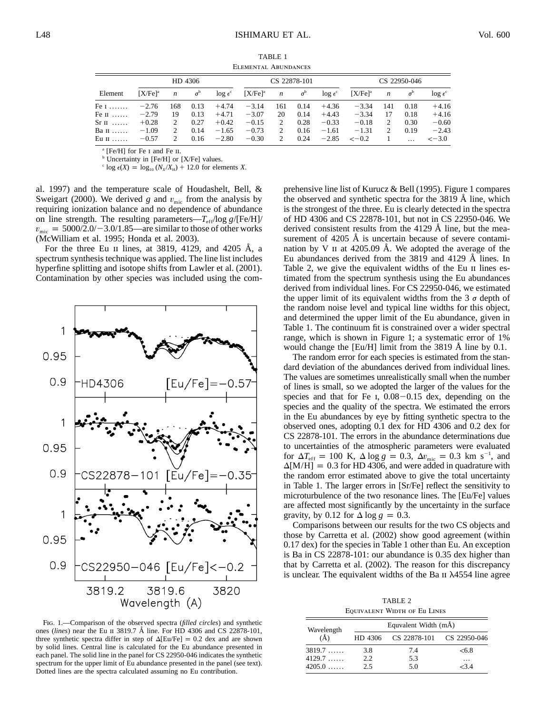TABLE 1 Elemental Abundances

|             | HD 4306             |                             |                  |                   | CS 22878-101        |                  |                  | CS 22950-046            |                     |                  |                  |                         |
|-------------|---------------------|-----------------------------|------------------|-------------------|---------------------|------------------|------------------|-------------------------|---------------------|------------------|------------------|-------------------------|
| Element     | [X/Fe] <sup>a</sup> | $\boldsymbol{n}$            | $\sigma^{\rm b}$ | $\log \epsilon^c$ | [X/Fe] <sup>a</sup> | $\boldsymbol{n}$ | $\sigma^{\rm b}$ | $\log \epsilon^{\rm c}$ | [X/Fe] <sup>a</sup> | $\boldsymbol{n}$ | $\sigma^{\rm b}$ | $\log \epsilon^{\rm c}$ |
| $Fe1$       | $-2.76$             | 168                         | 0.13             | $+4.74$           | $-3.14$             | 161              | 0.14             | $+4.36$                 | $-3.34$             | 141              | 0.18             | $+4.16$                 |
| $Fe II$     | $-2.79$             | 19                          | 0.13             | $+4.71$           | $-3.07$             | 20               | 0.14             | $+4.43$                 | $-3.34$             | 17               | 0.18             | $+4.16$                 |
| $SrII$      | $+0.28$             | $\mathcal{D}_{\mathcal{L}}$ | 0.27             | $+0.42$           | $-0.15$             |                  | 0.28             | $-0.33$                 | $-0.18$             | 2                | 0.30             | $-0.60$                 |
| Ван $\dots$ | $-1.09$             | 2                           | 0.14             | $-1.65$           | $-0.73$             | 2                | 0.16             | $-1.61$                 | $-1.31$             | 2                | 0.19             | $-2.43$                 |
| Eu $\pi$    | $-0.57$             |                             | 0.16             | $-2.80$           | $-0.30$             | 2                | 0.24             | $-2.85$                 | $\leq -0.2$         |                  |                  | $\leftarrow 3.0$        |

<sup>a</sup> [Fe/H] for Fe I and Fe II.

**b** Uncertainty in [Fe/H] or [X/Fe] values.

 $c$  log  $\epsilon(X) = \log_{10} (N_X / X_H) + 12.0$  for elements *X*.

al. 1997) and the temperature scale of Houdashelt, Bell, & Sweigart (2000). We derived *g* and  $v_{\text{mic}}$  from the analysis by requiring ionization balance and no dependence of abundance on line strength. The resulting parameters— $T_{\text{eff}}$ /log  $g/[Fe/H]/$  $v_{\text{mic}} = 5000/2.0/-3.0/1.85$ —are similar to those of other works (McWilliam et al. 1995; Honda et al. 2003).

For the three Eu II lines, at  $3819, 4129,$  and  $4205$  Å, a spectrum synthesis technique was applied. The line list includes hyperfine splitting and isotope shifts from Lawler et al. (2001). Contamination by other species was included using the com-



Fig. 1.—Comparison of the observed spectra (*filled circles*) and synthetic ones (*lines*) near the Eu II 3819.7 Å line. For HD 4306 and CS 22878-101, three synthetic spectra differ in step of  $\Delta$ [Eu/Fe] = 0.2 dex and are shown by solid lines. Central line is calculated for the Eu abundance presented in each panel. The solid line in the panel for CS 22950-046 indicates the synthetic spectrum for the upper limit of Eu abundance presented in the panel (see text). Dotted lines are the spectra calculated assuming no Eu contribution.

prehensive line list of Kurucz & Bell (1995). Figure 1 compares the observed and synthetic spectra for the 3819 Å line, which is the strongest of the three. Eu is clearly detected in the spectra of HD 4306 and CS 22878-101, but not in CS 22950-046. We derived consistent results from the  $4129 \text{ Å}$  line, but the measurement of 4205  $\AA$  is uncertain because of severe contamination by V  $\scriptstyle\rm II$  at 4205.09 Å. We adopted the average of the Eu abundances derived from the  $3819$  and  $4129$  Å lines. In Table 2, we give the equivalent widths of the Eu II lines estimated from the spectrum synthesis using the Eu abundances derived from individual lines. For CS 22950-046, we estimated the upper limit of its equivalent widths from the 3  $\sigma$  depth of the random noise level and typical line widths for this object, and determined the upper limit of the Eu abundance, given in Table 1. The continuum fit is constrained over a wider spectral range, which is shown in Figure 1; a systematic error of 1% would change the  $[Eu/H]$  limit from the 3819 Å line by 0.1.

The random error for each species is estimated from the standard deviation of the abundances derived from individual lines. The values are sometimes unrealistically small when the number of lines is small, so we adopted the larger of the values for the species and that for Fe I,  $0.08-0.15$  dex, depending on the species and the quality of the spectra. We estimated the errors in the Eu abundances by eye by fitting synthetic spectra to the observed ones, adopting 0.1 dex for HD 4306 and 0.2 dex for CS 22878-101. The errors in the abundance determinations due to uncertainties of the atmospheric parameters were evaluated for  $\Delta T_{\text{eff}} = 100 \text{ K}$ ,  $\Delta \log g = 0.3$ ,  $\Delta v_{\text{mic}} = 0.3 \text{ km s}^{-1}$ , and  $\Delta$ [M/H] = 0.3 for HD 4306, and were added in quadrature with the random error estimated above to give the total uncertainty in Table 1. The larger errors in [Sr/Fe] reflect the sensitivity to microturbulence of the two resonance lines. The [Eu/Fe] values are affected most significantly by the uncertainty in the surface gravity, by 0.12 for  $\Delta \log g = 0.3$ .

Comparisons between our results for the two CS objects and those by Carretta et al. (2002) show good agreement (within 0.17 dex) for the species in Table 1 other than Eu. An exception is Ba in CS 22878-101: our abundance is 0.35 dex higher than that by Carretta et al. (2002). The reason for this discrepancy is unclear. The equivalent widths of the Ba  $\text{II}$   $\lambda$ 4554 line agree

TABLE 2 Equivalent Width of Eu Lines

| Wavelength      | Equvalent Width (mÅ) |              |              |  |  |  |  |
|-----------------|----------------------|--------------|--------------|--|--|--|--|
| (Å)             | HD 4306              | CS 22878-101 | CS 22950-046 |  |  |  |  |
| 3819.7          | 3.8                  | 7.4          | < 6.8        |  |  |  |  |
| $4129.7 \ldots$ | 2.2                  | 5.3          | .            |  |  |  |  |
| $4205.0$        | 2.5                  | 5.0          | -34          |  |  |  |  |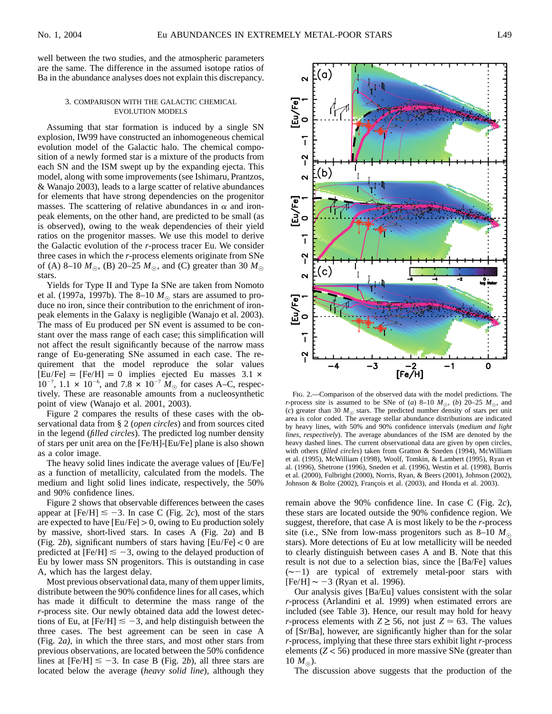well between the two studies, and the atmospheric parameters are the same. The difference in the assumed isotope ratios of Ba in the abundance analyses does not explain this discrepancy.

### 3. COMPARISON WITH THE GALACTIC CHEMICAL EVOLUTION MODELS

Assuming that star formation is induced by a single SN explosion, IW99 have constructed an inhomogeneous chemical evolution model of the Galactic halo. The chemical composition of a newly formed star is a mixture of the products from each SN and the ISM swept up by the expanding ejecta. This model, along with some improvements (see Ishimaru, Prantzos, & Wanajo 2003), leads to a large scatter of relative abundances for elements that have strong dependencies on the progenitor masses. The scattering of relative abundances in  $\alpha$  and ironpeak elements, on the other hand, are predicted to be small (as is observed), owing to the weak dependencies of their yield ratios on the progenitor masses. We use this model to derive the Galactic evolution of the *r*-process tracer Eu. We consider three cases in which the *r*-process elements originate from SNe of (A) 8–10  $M_{\odot}$ , (B) 20–25  $M_{\odot}$ , and (C) greater than 30  $M_{\odot}$ stars.

Yields for Type II and Type Ia SNe are taken from Nomoto et al. (1997a, 1997b). The 8–10  $M_{\odot}$  stars are assumed to produce no iron, since their contribution to the enrichment of ironpeak elements in the Galaxy is negligible (Wanajo et al. 2003). The mass of Eu produced per SN event is assumed to be constant over the mass range of each case; this simplification will not affect the result significantly because of the narrow mass range of Eu-generating SNe assumed in each case. The requirement that the model reproduce the solar values  $[Eu/Fe] = [Fe/H] = 0$  implies ejected Eu masses 3.1  $\times$  $10^{-7}$ ,  $1.1 \times 10^{-6}$ , and 7.8  $\times 10^{-7}$   $M_{\odot}$  for cases A–C, respectively. These are reasonable amounts from a nucleosynthetic point of view (Wanajo et al. 2001, 2003).

Figure 2 compares the results of these cases with the observational data from§2(*open circles*) and from sources cited in the legend (*filled circles*). The predicted log number density of stars per unit area on the [Fe/H]-[Eu/Fe] plane is also shown as a color image.

The heavy solid lines indicate the average values of [Eu/Fe] as a function of metallicity, calculated from the models. The medium and light solid lines indicate, respectively, the 50% and 90% confidence lines.

Figure 2 shows that observable differences between the cases appear at  $[Fe/H] \le -3$ . In case C (Fig. 2c), most of the stars are expected to have  $[Eu/Fe] > 0$ , owing to Eu production solely by massive, short-lived stars. In cases A (Fig. 2*a*) and B (Fig. 2*b*), significant numbers of stars having  $|Eu/Fe| < 0$  are predicted at [Fe/H]  $\leq -3$ , owing to the delayed production of Eu by lower mass SN progenitors. This is outstanding in case A, which has the largest delay.

Most previous observational data, many of them upper limits, distribute between the 90% confidence lines for all cases, which has made it difficult to determine the mass range of the *r*-process site. Our newly obtained data add the lowest detections of Eu, at [Fe/H]  $\leq -3$ , and help distinguish between the three cases. The best agreement can be seen in case A (Fig. 2*a)*, in which the three stars, and most other stars from previous observations, are located between the 50% confidence lines at  $[Fe/H] \le -3$ . In case B (Fig. 2b), all three stars are located below the average (*heavy solid line*), although they



FIG. 2.—Comparison of the observed data with the model predictions. The *r*-process site is assumed to be SNe of (*a*) 8–10  $M_{\odot}$ , (*b*) 20–25  $M_{\odot}$ , and (*c*) greater than 30  $M_{\odot}$  stars. The predicted number density of stars per unit area is color coded. The average stellar abundance distributions are indicated by heavy lines, with 50% and 90% confidence intervals (*medium and light lines, respectively*). The average abundances of the ISM are denoted by the heavy dashed lines. The current observational data are given by open circles, with others (*filled circles*) taken from Gratton & Sneden (1994), McWilliam et al. (1995), McWilliam (1998), Woolf, Tomkin, & Lambert (1995), Ryan et al. (1996), Shetrone (1996), Sneden et al. (1996), Westin et al. (1998), Burris et al. (2000), Fulbright (2000), Norris, Ryan, & Beers (2001), Johnson (2002), Johnson & Bolte (2002), François et al. (2003), and Honda et al. 2003).

remain above the 90% confidence line. In case C (Fig. 2*c*), these stars are located outside the 90% confidence region. We suggest, therefore, that case A is most likely to be the *r*-process site (i.e., SNe from low-mass progenitors such as 8–10 *M*, stars). More detections of Eu at low metallicity will be needed to clearly distinguish between cases A and B. Note that this result is not due to a selection bias, since the [Ba/Fe] values (∼1) are typical of extremely metal-poor stars with  $[Fe/H] \sim -3$  (Ryan et al. 1996).

Our analysis gives [Ba/Eu] values consistent with the solar *r*-process (Arlandini et al. 1999) when estimated errors are included (see Table 3). Hence, our result may hold for heavy *r*-process elements with  $Z \ge 56$ , not just  $Z \approx 63$ . The values of [Sr/Ba], however, are significantly higher than for the solar *r*-process, implying that these three stars exhibit light *r*-process elements  $(Z < 56)$  produced in more massive SNe (greater than  $10 M_{\odot}$ ).

The discussion above suggests that the production of the